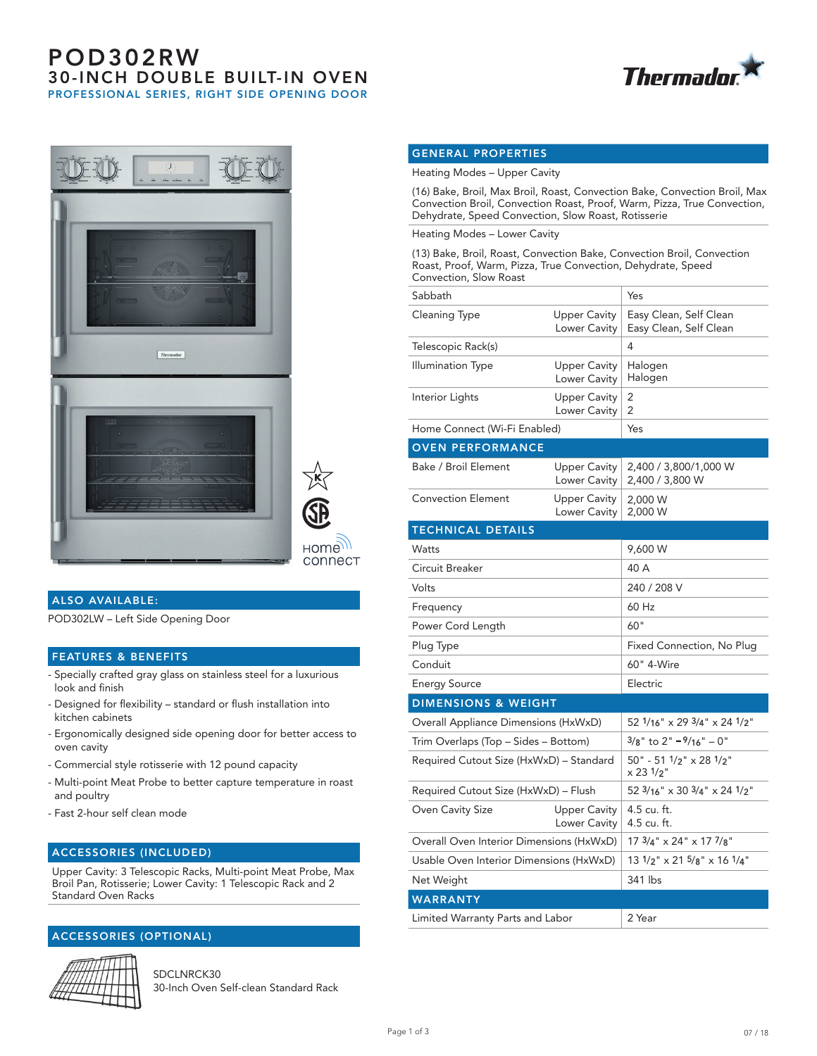# POD302RW 30-INCH DOUBLE BUILT-IN OVEN PROFESSIONAL SERIES, RIGHT SIDE OPENING DOOR







#### ALSO AVAILABLE:

POD302LW – Left Side Opening Door

#### FEATURES & BENEFITS

- Specially crafted gray glass on stainless steel for a luxurious look and finish
- Designed for flexibility standard or flush installation into kitchen cabinets
- Ergonomically designed side opening door for better access to oven cavity
- Commercial style rotisserie with 12 pound capacity
- Multi-point Meat Probe to better capture temperature in roast and poultry
- Fast 2-hour self clean mode

### ACCESSORIES (INCLUDED)

Upper Cavity: 3 Telescopic Racks, Multi-point Meat Probe, Max Broil Pan, Rotisserie; Lower Cavity: 1 Telescopic Rack and 2 Standard Oven Racks

### ACCESSORIES (OPTIONAL)



SDCLNRCK30 30-Inch Oven Self-clean Standard Rack

### GENERAL PROPERTIES

Heating Modes – Upper Cavity

(16) Bake, Broil, Max Broil, Roast, Convection Bake, Convection Broil, Max Convection Broil, Convection Roast, Proof, Warm, Pizza, True Convection, Dehydrate, Speed Convection, Slow Roast, Rotisserie

Heating Modes – Lower Cavity

(13) Bake, Broil, Roast, Convection Bake, Convection Broil, Convection Roast, Proof, Warm, Pizza, True Convection, Dehydrate, Speed Convection, Slow Roast

| Sabbath                                  |                                     | Yes                                               |
|------------------------------------------|-------------------------------------|---------------------------------------------------|
| Cleaning Type                            | <b>Upper Cavity</b><br>Lower Cavity | Easy Clean, Self Clean<br>Easy Clean, Self Clean  |
| Telescopic Rack(s)                       |                                     | 4                                                 |
| Illumination Type                        | <b>Upper Cavity</b><br>Lower Cavity | Halogen<br>Halogen                                |
| Interior Lights                          | <b>Upper Cavity</b><br>Lower Cavity | 2<br>$\mathfrak{p}$                               |
| Home Connect (Wi-Fi Enabled)             |                                     | Yes                                               |
| <b>OVEN PERFORMANCE</b>                  |                                     |                                                   |
| Bake / Broil Element                     | <b>Upper Cavity</b><br>Lower Cavity | 2,400 / 3,800/1,000 W<br>2,400 / 3,800 W          |
| <b>Convection Element</b>                | <b>Upper Cavity</b><br>Lower Cavity | 2,000 W<br>2,000 W                                |
| <b>TECHNICAL DETAILS</b>                 |                                     |                                                   |
| Watts                                    |                                     | 9,600 W                                           |
| Circuit Breaker                          |                                     | 40 A                                              |
| Volts                                    |                                     | 240 / 208 V                                       |
| Frequency                                |                                     | 60 Hz                                             |
| Power Cord Length                        |                                     | 60"                                               |
| Plug Type                                |                                     | Fixed Connection, No Plug                         |
| Conduit                                  |                                     | 60" 4-Wire                                        |
| <b>Energy Source</b>                     |                                     | Electric                                          |
| <b>DIMENSIONS &amp; WEIGHT</b>           |                                     |                                                   |
| Overall Appliance Dimensions (HxWxD)     |                                     | 52 1/16" x 29 3/4" x 24 1/2"                      |
| Trim Overlaps (Top - Sides - Bottom)     |                                     | $3/8$ " to 2" $-9/16$ " $-0$ "                    |
| Required Cutout Size (HxWxD) - Standard  |                                     | 50" - 51 1/2" x 28 1/2"<br>$x 23$ $1/2$ "         |
| Required Cutout Size (HxWxD) – Flush     |                                     | 52 $3/16$ " x 30 $3/4$ " x 24 $1/2$ "             |
| Oven Cavity Size                         | <b>Upper Cavity</b><br>Lower Cavity | 4.5 cu. ft.<br>4.5 cu. ft.                        |
| Overall Oven Interior Dimensions (HxWxD) |                                     | 17 3/4" x 24" x 17 7/8"                           |
| Usable Oven Interior Dimensions (HxWxD)  |                                     | $131/2$ " $\times$ 21 $5/8$ " $\times$ 16 $1/4$ " |
| Net Weight                               |                                     | 341 lbs                                           |
| <b>WARRANTY</b>                          |                                     |                                                   |
| Limited Warranty Parts and Labor         |                                     | 2 Year                                            |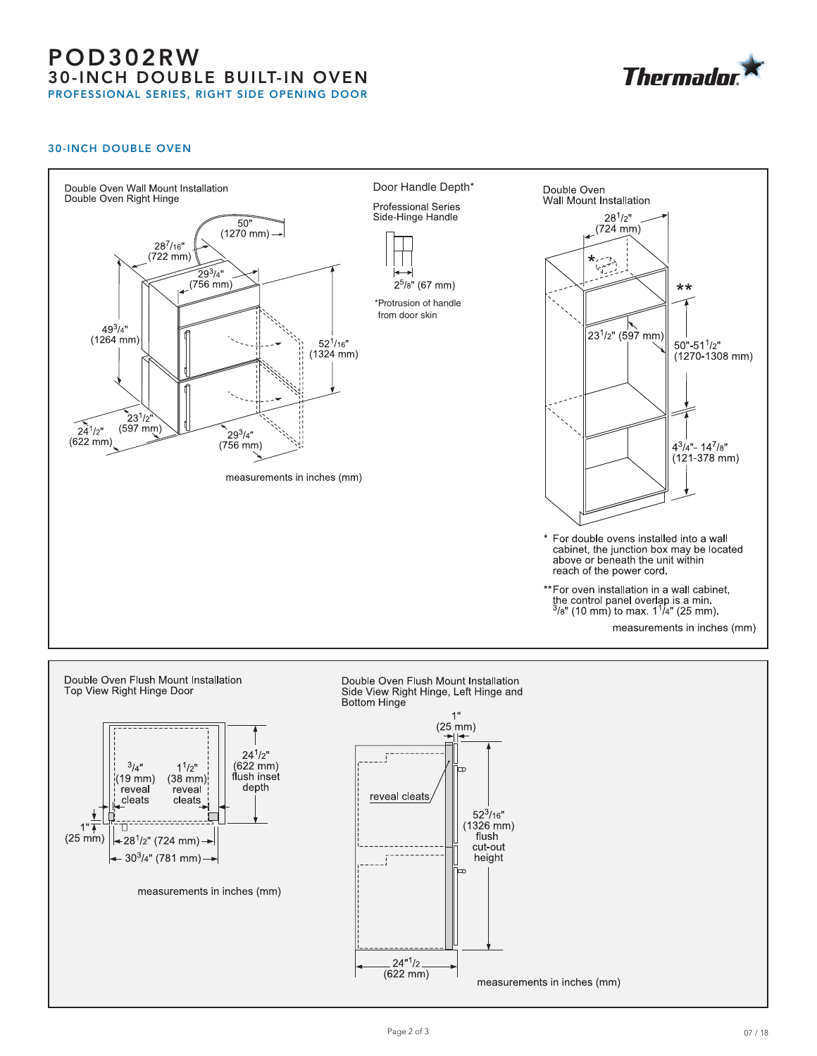# POD302RW 30-INCH DOUBLE BUILT-IN OVEN PROFESSIONAL SERIES, RIGHT SIDE OPENING DOOR



#### 30-INCH DOUBLE OVEN



Page 2 of 3 07 / 18

 $24<sup>n1</sup>/2$  $(622 \, mm)$ 

measurements in inches (mm)